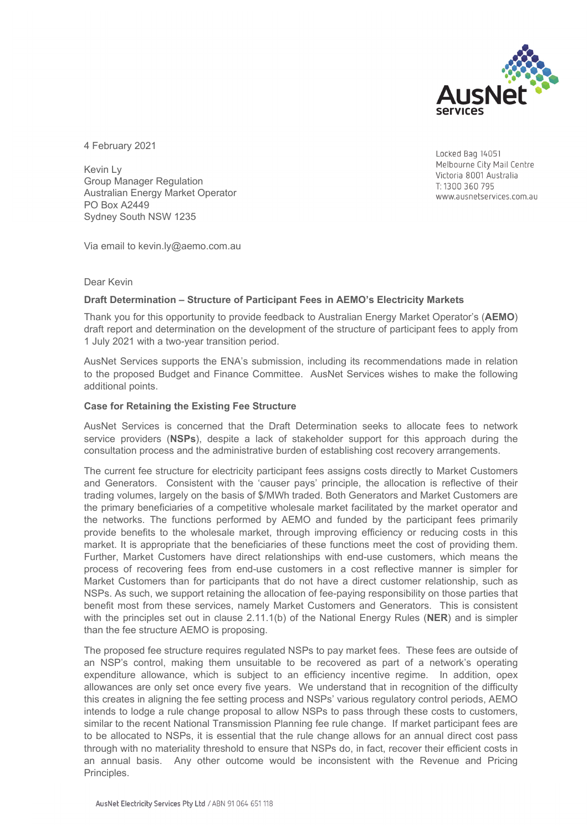

4 February 2021

Kevin Ly Group Manager Regulation Australian Energy Market Operator PO Box A2449 Sydney South NSW 1235

Locked Bag 14051 Melbourne City Mail Centre Victoria 8001 Australia T: 1300 360 795 www.ausnetservices.com.au

Via email to kevin.ly@aemo.com.au

## Dear Kevin

## **Draft Determination – Structure of Participant Fees in AEMO's Electricity Markets**

Thank you for this opportunity to provide feedback to Australian Energy Market Operator's (**AEMO**) draft report and determination on the development of the structure of participant fees to apply from 1 July 2021 with a two-year transition period.

AusNet Services supports the ENA's submission, including its recommendations made in relation to the proposed Budget and Finance Committee. AusNet Services wishes to make the following additional points.

#### **Case for Retaining the Existing Fee Structure**

AusNet Services is concerned that the Draft Determination seeks to allocate fees to network service providers (**NSPs**), despite a lack of stakeholder support for this approach during the consultation process and the administrative burden of establishing cost recovery arrangements.

The current fee structure for electricity participant fees assigns costs directly to Market Customers and Generators. Consistent with the 'causer pays' principle, the allocation is reflective of their trading volumes, largely on the basis of \$/MWh traded. Both Generators and Market Customers are the primary beneficiaries of a competitive wholesale market facilitated by the market operator and the networks. The functions performed by AEMO and funded by the participant fees primarily provide benefits to the wholesale market, through improving efficiency or reducing costs in this market. It is appropriate that the beneficiaries of these functions meet the cost of providing them. Further, Market Customers have direct relationships with end-use customers, which means the process of recovering fees from end-use customers in a cost reflective manner is simpler for Market Customers than for participants that do not have a direct customer relationship, such as NSPs. As such, we support retaining the allocation of fee-paying responsibility on those parties that benefit most from these services, namely Market Customers and Generators. This is consistent with the principles set out in clause 2.11.1(b) of the National Energy Rules (**NER**) and is simpler than the fee structure AEMO is proposing.

The proposed fee structure requires regulated NSPs to pay market fees. These fees are outside of an NSP's control, making them unsuitable to be recovered as part of a network's operating expenditure allowance, which is subject to an efficiency incentive regime. In addition, opex allowances are only set once every five years. We understand that in recognition of the difficulty this creates in aligning the fee setting process and NSPs' various regulatory control periods, AEMO intends to lodge a rule change proposal to allow NSPs to pass through these costs to customers, similar to the recent National Transmission Planning fee rule change. If market participant fees are to be allocated to NSPs, it is essential that the rule change allows for an annual direct cost pass through with no materiality threshold to ensure that NSPs do, in fact, recover their efficient costs in an annual basis. Any other outcome would be inconsistent with the Revenue and Pricing Principles.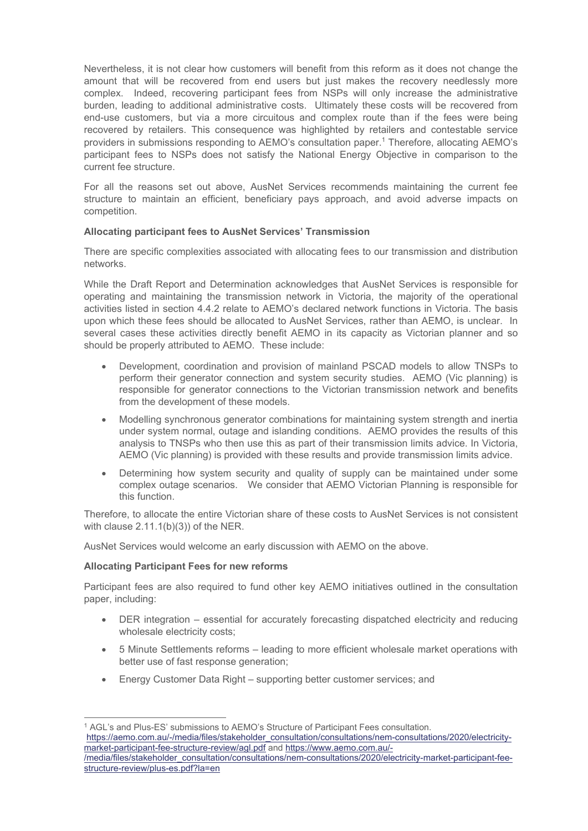Nevertheless, it is not clear how customers will benefit from this reform as it does not change the amount that will be recovered from end users but just makes the recovery needlessly more complex. Indeed, recovering participant fees from NSPs will only increase the administrative burden, leading to additional administrative costs. Ultimately these costs will be recovered from end-use customers, but via a more circuitous and complex route than if the fees were being recovered by retailers. This consequence was highlighted by retailers and contestable service providers in submissions responding to AEMO's consultation paper.<sup>1</sup> Therefore, allocating AEMO's participant fees to NSPs does not satisfy the National Energy Objective in comparison to the current fee structure.

For all the reasons set out above, AusNet Services recommends maintaining the current fee structure to maintain an efficient, beneficiary pays approach, and avoid adverse impacts on competition.

# **Allocating participant fees to AusNet Services' Transmission**

There are specific complexities associated with allocating fees to our transmission and distribution networks.

While the Draft Report and Determination acknowledges that AusNet Services is responsible for operating and maintaining the transmission network in Victoria, the majority of the operational activities listed in section 4.4.2 relate to AEMO's declared network functions in Victoria. The basis upon which these fees should be allocated to AusNet Services, rather than AEMO, is unclear. In several cases these activities directly benefit AEMO in its capacity as Victorian planner and so should be properly attributed to AEMO. These include:

- Development, coordination and provision of mainland PSCAD models to allow TNSPs to perform their generator connection and system security studies. AEMO (Vic planning) is responsible for generator connections to the Victorian transmission network and benefits from the development of these models.
- Modelling synchronous generator combinations for maintaining system strength and inertia under system normal, outage and islanding conditions. AEMO provides the results of this analysis to TNSPs who then use this as part of their transmission limits advice. In Victoria, AEMO (Vic planning) is provided with these results and provide transmission limits advice.
- Determining how system security and quality of supply can be maintained under some complex outage scenarios. We consider that AEMO Victorian Planning is responsible for this function.

Therefore, to allocate the entire Victorian share of these costs to AusNet Services is not consistent with clause 2.11.1(b)(3)) of the NER.

AusNet Services would welcome an early discussion with AEMO on the above.

## **Allocating Participant Fees for new reforms**

Participant fees are also required to fund other key AEMO initiatives outlined in the consultation paper, including:

- DER integration essential for accurately forecasting dispatched electricity and reducing wholesale electricity costs;
- 5 Minute Settlements reforms leading to more efficient wholesale market operations with better use of fast response generation;
- Energy Customer Data Right supporting better customer services; and

<sup>1</sup> AGL's and Plus-ES' submissions to AEMO's Structure of Participant Fees consultation. https://aemo.com.au/-/media/files/stakeholder\_consultation/consultations/nem-consultations/2020/electricitymarket-participant-fee-structure-review/agl.pdf and https://www.aemo.com.au/- /media/files/stakeholder\_consultation/consultations/nem-consultations/2020/electricity-market-participant-feestructure-review/plus-es.pdf?la=en